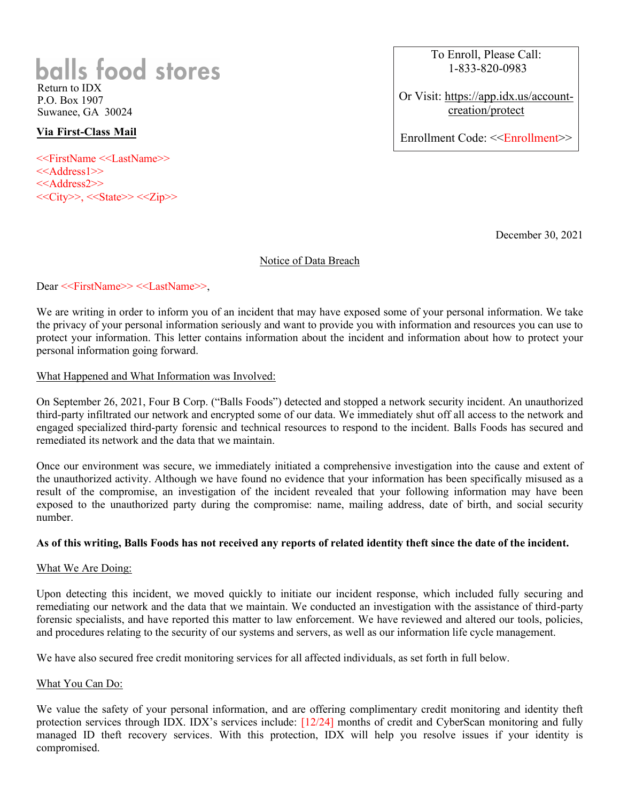# **balls food stores** Return to IDX

P.O. Box 1907 Suwanee, GA 30024

### **Via First-Class Mail**

<<FirstName <<LastName>> <<Address1>> <<Address2>>  $<<$ City>>,  $<<$ State>>  $<<$ Zip>> To Enroll, Please Call: 1-833-820-0983

Or Visit: https://app.idx.us/accountcreation/protect

Enrollment Code: <<Enrollment>>

December 30, 2021

#### Notice of Data Breach

#### Dear <<FirstName>> <<LastName>>,

We are writing in order to inform you of an incident that may have exposed some of your personal information. We take the privacy of your personal information seriously and want to provide you with information and resources you can use to protect your information. This letter contains information about the incident and information about how to protect your personal information going forward.

#### What Happened and What Information was Involved:

On September 26, 2021, Four B Corp. ("Balls Foods") detected and stopped a network security incident. An unauthorized third-party infiltrated our network and encrypted some of our data. We immediately shut off all access to the network and engaged specialized third-party forensic and technical resources to respond to the incident. Balls Foods has secured and remediated its network and the data that we maintain.

Once our environment was secure, we immediately initiated a comprehensive investigation into the cause and extent of the unauthorized activity. Although we have found no evidence that your information has been specifically misused as a result of the compromise, an investigation of the incident revealed that your following information may have been exposed to the unauthorized party during the compromise: name, mailing address, date of birth, and social security number.

#### **As of this writing, Balls Foods has not received any reports of related identity theft since the date of the incident.**

#### What We Are Doing:

Upon detecting this incident, we moved quickly to initiate our incident response, which included fully securing and remediating our network and the data that we maintain. We conducted an investigation with the assistance of third-party forensic specialists, and have reported this matter to law enforcement. We have reviewed and altered our tools, policies, and procedures relating to the security of our systems and servers, as well as our information life cycle management.

We have also secured free credit monitoring services for all affected individuals, as set forth in full below.

#### What You Can Do:

We value the safety of your personal information, and are offering complimentary credit monitoring and identity theft protection services through IDX. IDX's services include: [12/24] months of credit and CyberScan monitoring and fully managed ID theft recovery services. With this protection, IDX will help you resolve issues if your identity is compromised.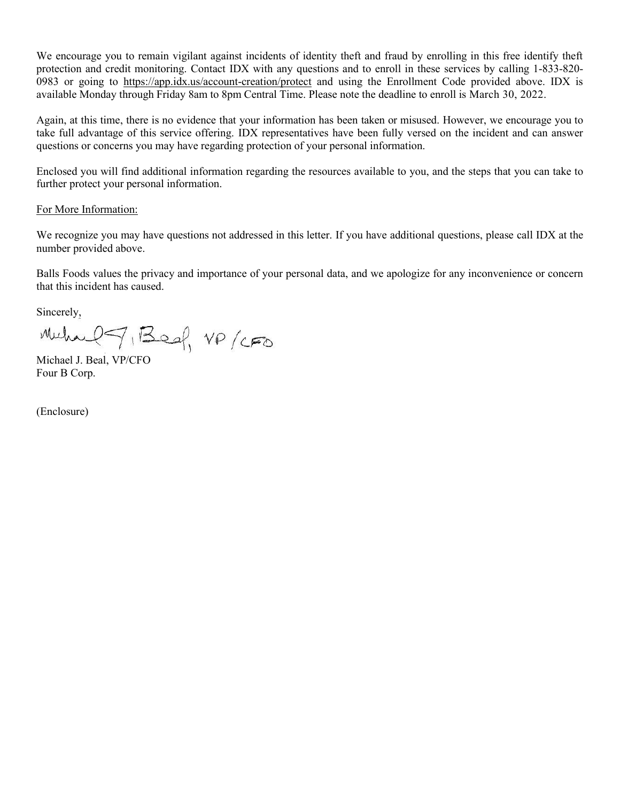We encourage you to remain vigilant against incidents of identity theft and fraud by enrolling in this free identify theft protection and credit monitoring. Contact IDX with any questions and to enroll in these services by calling 1-833-820- 0983 or going to https://app.idx.us/account-creation/protect and using the Enrollment Code provided above. IDX is available Monday through Friday 8am to 8pm Central Time. Please note the deadline to enroll is March 30, 2022.

Again, at this time, there is no evidence that your information has been taken or misused. However, we encourage you to take full advantage of this service offering. IDX representatives have been fully versed on the incident and can answer questions or concerns you may have regarding protection of your personal information.

Enclosed you will find additional information regarding the resources available to you, and the steps that you can take to further protect your personal information.

#### For More Information:

We recognize you may have questions not addressed in this letter. If you have additional questions, please call IDX at the number provided above.

Balls Foods values the privacy and importance of your personal data, and we apologize for any inconvenience or concern that this incident has caused.

Sincerely,

Muhael J. Beal, VP/CFO

Four B Corp.

(Enclosure)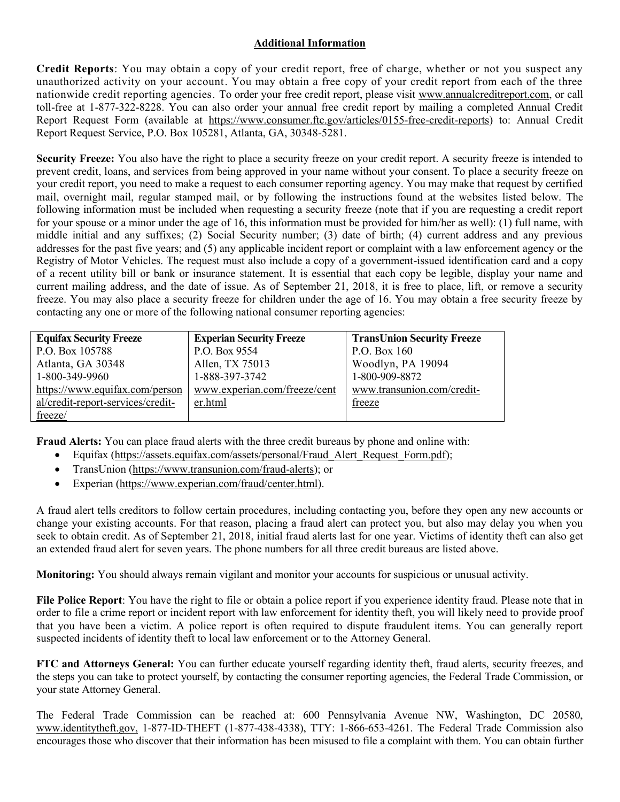## **Additional Information**

**Credit Reports**: You may obtain a copy of your credit report, free of charge, whether or not you suspect any unauthorized activity on your account. You may obtain a free copy of your credit report from each of the three nationwide credit reporting agencies. To order your free credit report, please visit www.annualcreditreport.com, or call toll-free at 1-877-322-8228. You can also order your annual free credit report by mailing a completed Annual Credit Report Request Form (available at https://www.consumer.ftc.gov/articles/0155-free-credit-reports) to: Annual Credit Report Request Service, P.O. Box 105281, Atlanta, GA, 30348-5281.

Security Freeze: You also have the right to place a security freeze on your credit report. A security freeze is intended to prevent credit, loans, and services from being approved in your name without your consent. To place a security freeze on your credit report, you need to make a request to each consumer reporting agency. You may make that request by certified mail, overnight mail, regular stamped mail, or by following the instructions found at the websites listed below. The following information must be included when requesting a security freeze (note that if you are requesting a credit report for your spouse or a minor under the age of 16, this information must be provided for him/her as well): (1) full name, with middle initial and any suffixes; (2) Social Security number; (3) date of birth; (4) current address and any previous addresses for the past five years; and (5) any applicable incident report or complaint with a law enforcement agency or the Registry of Motor Vehicles. The request must also include a copy of a government-issued identification card and a copy of a recent utility bill or bank or insurance statement. It is essential that each copy be legible, display your name and current mailing address, and the date of issue. As of September 21, 2018, it is free to place, lift, or remove a security freeze. You may also place a security freeze for children under the age of 16. You may obtain a free security freeze by contacting any one or more of the following national consumer reporting agencies:

| <b>Equifax Security Freeze</b>    | <b>Experian Security Freeze</b> | <b>TransUnion Security Freeze</b> |
|-----------------------------------|---------------------------------|-----------------------------------|
| P.O. Box 105788                   | P.O. Box 9554                   | P.O. Box 160                      |
| Atlanta, GA 30348                 | Allen, TX 75013                 | Woodlyn, PA 19094                 |
| 1-800-349-9960                    | 1-888-397-3742                  | 1-800-909-8872                    |
| https://www.equifax.com/person    | www.experian.com/freeze/cent    | www.transunion.com/credit-        |
| al/credit-report-services/credit- | er.html                         | freeze                            |
| freeze/                           |                                 |                                   |

**Fraud Alerts:** You can place fraud alerts with the three credit bureaus by phone and online with:

- Equifax (https://assets.equifax.com/assets/personal/Fraud\_Alert\_Request\_Form.pdf);
- TransUnion (https://www.transunion.com/fraud-alerts); or
- Experian (https://www.experian.com/fraud/center.html).

A fraud alert tells creditors to follow certain procedures, including contacting you, before they open any new accounts or change your existing accounts. For that reason, placing a fraud alert can protect you, but also may delay you when you seek to obtain credit. As of September 21, 2018, initial fraud alerts last for one year. Victims of identity theft can also get an extended fraud alert for seven years. The phone numbers for all three credit bureaus are listed above.

**Monitoring:** You should always remain vigilant and monitor your accounts for suspicious or unusual activity.

**File Police Report**: You have the right to file or obtain a police report if you experience identity fraud. Please note that in order to file a crime report or incident report with law enforcement for identity theft, you will likely need to provide proof that you have been a victim. A police report is often required to dispute fraudulent items. You can generally report suspected incidents of identity theft to local law enforcement or to the Attorney General.

**FTC and Attorneys General:** You can further educate yourself regarding identity theft, fraud alerts, security freezes, and the steps you can take to protect yourself, by contacting the consumer reporting agencies, the Federal Trade Commission, or your state Attorney General.

The Federal Trade Commission can be reached at: 600 Pennsylvania Avenue NW, Washington, DC 20580, www.identitytheft.gov, 1-877-ID-THEFT (1-877-438-4338), TTY: 1-866-653-4261. The Federal Trade Commission also encourages those who discover that their information has been misused to file a complaint with them. You can obtain further